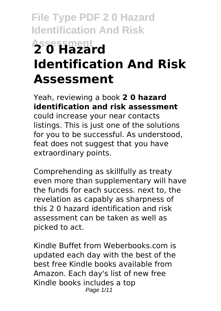# **File Type PDF 2 0 Hazard Identification And Risk Assessment 2 0 Hazard Identification And Risk Assessment**

Yeah, reviewing a book **2 0 hazard identification and risk assessment** could increase your near contacts listings. This is just one of the solutions for you to be successful. As understood, feat does not suggest that you have extraordinary points.

Comprehending as skillfully as treaty even more than supplementary will have the funds for each success. next to, the revelation as capably as sharpness of this 2 0 hazard identification and risk assessment can be taken as well as picked to act.

Kindle Buffet from Weberbooks.com is updated each day with the best of the best free Kindle books available from Amazon. Each day's list of new free Kindle books includes a top Page 1/11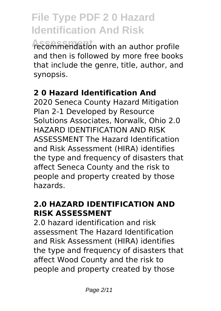**Assessment** recommendation with an author profile and then is followed by more free books that include the genre, title, author, and synopsis.

#### **2 0 Hazard Identification And**

2020 Seneca County Hazard Mitigation Plan 2-1 Developed by Resource Solutions Associates, Norwalk, Ohio 2.0 HAZARD IDENTIFICATION AND RISK ASSESSMENT The Hazard Identification and Risk Assessment (HIRA) identifies the type and frequency of disasters that affect Seneca County and the risk to people and property created by those hazards.

### **2.0 HAZARD IDENTIFICATION AND RISK ASSESSMENT**

2.0 hazard identification and risk assessment The Hazard Identification and Risk Assessment (HIRA) identifies the type and frequency of disasters that affect Wood County and the risk to people and property created by those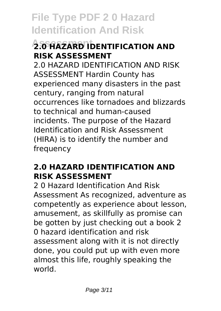### **2.0 HAZARD IDENTIFICATION AND RISK ASSESSMENT**

2.0 HAZARD IDENTIFICATION AND RISK ASSESSMENT Hardin County has experienced many disasters in the past century, ranging from natural occurrences like tornadoes and blizzards to technical and human-caused incidents. The purpose of the Hazard Identification and Risk Assessment (HIRA) is to identify the number and frequency

#### **2.0 HAZARD IDENTIFICATION AND RISK ASSESSMENT**

2 0 Hazard Identification And Risk Assessment As recognized, adventure as competently as experience about lesson, amusement, as skillfully as promise can be gotten by just checking out a book 2 0 hazard identification and risk assessment along with it is not directly done, you could put up with even more almost this life, roughly speaking the world.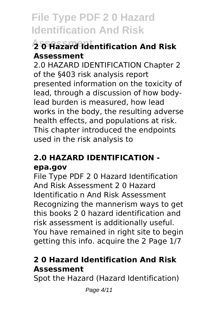### **Assessment 2 0 Hazard Identification And Risk Assessment**

2.0 HAZARD IDENTIFICATION Chapter 2 of the §403 risk analysis report presented information on the toxicity of lead, through a discussion of how bodylead burden is measured, how lead works in the body, the resulting adverse health effects, and populations at risk. This chapter introduced the endpoints used in the risk analysis to

### **2.0 HAZARD IDENTIFICATION epa.gov**

File Type PDF 2 0 Hazard Identification And Risk Assessment 2 0 Hazard Identificatio n And Risk Assessment Recognizing the mannerism ways to get this books 2 0 hazard identification and risk assessment is additionally useful. You have remained in right site to begin getting this info. acquire the 2 Page 1/7

### **2 0 Hazard Identification And Risk Assessment**

Spot the Hazard (Hazard Identification)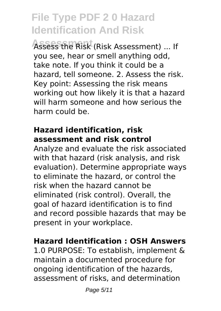Assess the Risk (Risk Assessment) ... If you see, hear or smell anything odd, take note. If you think it could be a hazard, tell someone. 2. Assess the risk. Key point: Assessing the risk means working out how likely it is that a hazard will harm someone and how serious the harm could be.

#### **Hazard identification, risk assessment and risk control**

Analyze and evaluate the risk associated with that hazard (risk analysis, and risk evaluation). Determine appropriate ways to eliminate the hazard, or control the risk when the hazard cannot be eliminated (risk control). Overall, the goal of hazard identification is to find and record possible hazards that may be present in your workplace.

#### **Hazard Identification : OSH Answers**

1.0 PURPOSE: To establish, implement & maintain a documented procedure for ongoing identification of the hazards, assessment of risks, and determination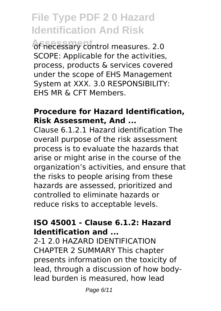of necessary control measures. 2.0 SCOPE: Applicable for the activities, process, products & services covered under the scope of EHS Management System at XXX. 3.0 RESPONSIBILITY: EHS MR & CFT Members.

#### **Procedure for Hazard Identification, Risk Assessment, And ...**

Clause 6.1.2.1 Hazard identification The overall purpose of the risk assessment process is to evaluate the hazards that arise or might arise in the course of the organization's activities, and ensure that the risks to people arising from these hazards are assessed, prioritized and controlled to eliminate hazards or reduce risks to acceptable levels.

#### **ISO 45001 - Clause 6.1.2: Hazard Identification and ...**

2-1 2.0 HAZARD IDENTIFICATION CHAPTER 2 SUMMARY This chapter presents information on the toxicity of lead, through a discussion of how bodylead burden is measured, how lead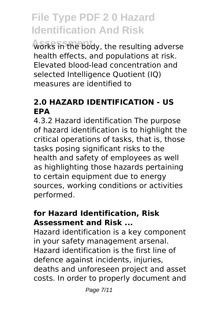works in the body, the resulting adverse health effects, and populations at risk. Elevated blood-lead concentration and selected Intelligence Quotient (IQ) measures are identified to

#### **2.0 HAZARD IDENTIFICATION - US EPA**

4.3.2 Hazard identification The purpose of hazard identification is to highlight the critical operations of tasks, that is, those tasks posing significant risks to the health and safety of employees as well as highlighting those hazards pertaining to certain equipment due to energy sources, working conditions or activities performed.

#### **for Hazard Identification, Risk Assessment and Risk ...**

Hazard identification is a key component in your safety management arsenal. Hazard identification is the first line of defence against incidents, injuries, deaths and unforeseen project and asset costs. In order to properly document and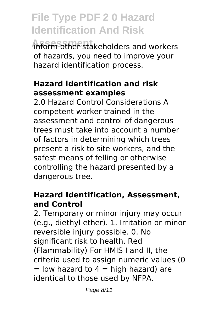**Assessment** inform other stakeholders and workers of hazards, you need to improve your hazard identification process.

#### **Hazard identification and risk assessment examples**

2.0 Hazard Control Considerations A competent worker trained in the assessment and control of dangerous trees must take into account a number of factors in determining which trees present a risk to site workers, and the safest means of felling or otherwise controlling the hazard presented by a dangerous tree.

#### **Hazard Identification, Assessment, and Control**

2. Temporary or minor injury may occur (e.g., diethyl ether). 1. Irritation or minor reversible injury possible. 0. No significant risk to health. Red (Flammability) For HMIS I and II, the criteria used to assign numeric values (0  $=$  low hazard to 4  $=$  high hazard) are identical to those used by NFPA.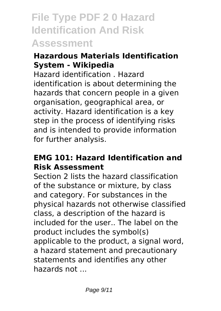#### **Hazardous Materials Identification System - Wikipedia**

Hazard identification . Hazard identification is about determining the hazards that concern people in a given organisation, geographical area, or activity. Hazard identification is a key step in the process of identifying risks and is intended to provide information for further analysis.

#### **EMG 101: Hazard Identification and Risk Assessment**

Section 2 lists the hazard classification of the substance or mixture, by class and category. For substances in the physical hazards not otherwise classified class, a description of the hazard is included for the user.. The label on the product includes the symbol(s) applicable to the product, a signal word, a hazard statement and precautionary statements and identifies any other hazards not ...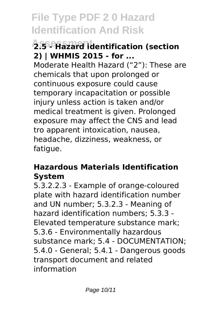### **Assessment 2.5 - Hazard identification (section 2) | WHMIS 2015 - for ...**

Moderate Health Hazard ("2"): These are chemicals that upon prolonged or continuous exposure could cause temporary incapacitation or possible injury unless action is taken and/or medical treatment is given. Prolonged exposure may affect the CNS and lead tro apparent intoxication, nausea, headache, dizziness, weakness, or fatigue.

#### **Hazardous Materials Identification System**

5.3.2.2.3 - Example of orange-coloured plate with hazard identification number and UN number; 5.3.2.3 - Meaning of hazard identification numbers; 5.3.3 - Elevated temperature substance mark; 5.3.6 - Environmentally hazardous substance mark; 5.4 - DOCUMENTATION; 5.4.0 - General; 5.4.1 - Dangerous goods transport document and related information